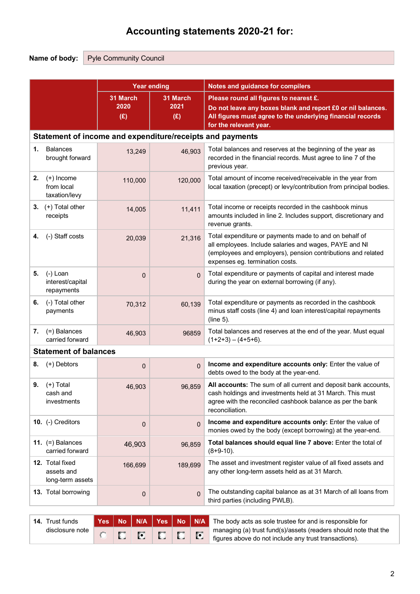# **Accounting statements 2020-21 for:**

disclosure note

Name of body: Pyle Community Council

|    |                                                   |                         | <b>Year ending</b>      | Notes and guidance for compilers                                                                                                                                                                                    |  |  |  |  |
|----|---------------------------------------------------|-------------------------|-------------------------|---------------------------------------------------------------------------------------------------------------------------------------------------------------------------------------------------------------------|--|--|--|--|
|    |                                                   | 31 March<br>2020<br>(E) | 31 March<br>2021<br>(E) | Please round all figures to nearest £.<br>Do not leave any boxes blank and report £0 or nil balances.<br>All figures must agree to the underlying financial records<br>for the relevant year.                       |  |  |  |  |
|    |                                                   |                         |                         | Statement of income and expenditure/receipts and payments                                                                                                                                                           |  |  |  |  |
| 1. | <b>Balances</b><br>brought forward                | 13,249                  | 46,903                  | Total balances and reserves at the beginning of the year as<br>recorded in the financial records. Must agree to line 7 of the<br>previous year.                                                                     |  |  |  |  |
| 2. | $(+)$ Income<br>from local<br>taxation/levy       | 110,000                 | 120,000                 | Total amount of income received/receivable in the year from<br>local taxation (precept) or levy/contribution from principal bodies.                                                                                 |  |  |  |  |
| 3. | (+) Total other<br>receipts                       | 14,005                  | 11,411                  | Total income or receipts recorded in the cashbook minus<br>amounts included in line 2. Includes support, discretionary and<br>revenue grants.                                                                       |  |  |  |  |
| 4. | (-) Staff costs                                   | 20,039                  | 21,316                  | Total expenditure or payments made to and on behalf of<br>all employees. Include salaries and wages, PAYE and NI<br>(employees and employers), pension contributions and related<br>expenses eg. termination costs. |  |  |  |  |
| 5. | $(-)$ Loan<br>interest/capital<br>repayments      | $\mathbf 0$             | $\overline{0}$          | Total expenditure or payments of capital and interest made<br>during the year on external borrowing (if any).                                                                                                       |  |  |  |  |
| 6. | (-) Total other<br>payments                       | 70,312                  | 60,139                  | Total expenditure or payments as recorded in the cashbook<br>minus staff costs (line 4) and loan interest/capital repayments<br>(line 5).                                                                           |  |  |  |  |
| 7. | (=) Balances<br>carried forward                   | 46,903                  | 96859                   | Total balances and reserves at the end of the year. Must equal<br>$(1+2+3) - (4+5+6)$ .                                                                                                                             |  |  |  |  |
|    | <b>Statement of balances</b>                      |                         |                         |                                                                                                                                                                                                                     |  |  |  |  |
| 8. | (+) Debtors                                       | $\overline{0}$          | $\overline{0}$          | Income and expenditure accounts only: Enter the value of<br>debts owed to the body at the year-end.                                                                                                                 |  |  |  |  |
| 9. | $(+)$ Total<br>cash and<br>investments            | 46,903                  | 96,859                  | All accounts: The sum of all current and deposit bank accounts,<br>cash holdings and investments held at 31 March. This must<br>agree with the reconciled cashbook balance as per the bank<br>reconciliation.       |  |  |  |  |
|    | 10. (-) Creditors                                 | $\mathbf 0$             | $\overline{0}$          | Income and expenditure accounts only: Enter the value of<br>monies owed by the body (except borrowing) at the year-end.                                                                                             |  |  |  |  |
|    | 11. $(=)$ Balances<br>carried forward             | 46,903                  | 96,859                  | Total balances should equal line 7 above: Enter the total of<br>$(8+9-10)$ .                                                                                                                                        |  |  |  |  |
|    | 12. Total fixed<br>assets and<br>long-term assets | 166,699                 | 189,699                 | The asset and investment register value of all fixed assets and<br>any other long-term assets held as at 31 March.                                                                                                  |  |  |  |  |
|    | 13. Total borrowing                               | 0                       | $\overline{0}$          | The outstanding capital balance as at 31 March of all loans from<br>third parties (including PWLB).                                                                                                                 |  |  |  |  |
|    | 14. Trust funds                                   | No<br>$Yes \mid$        | $N/A$   Yes   No   N/A  | The body acts as sole trustee for and is responsible for                                                                                                                                                            |  |  |  |  |

|            |        |  | <b>Yes</b>   No   N/A   Yes   No   N/A   The body acts as sole trustee for and is responsible for                                                            |
|------------|--------|--|--------------------------------------------------------------------------------------------------------------------------------------------------------------|
| <b>D</b> I | $\Box$ |  | $\mathbb{E}$ $\mathbb{E}$ $\mathbb{E}$ managing (a) trust fund(s)/assets (readers should note that the figures above do not include any trust transactions). |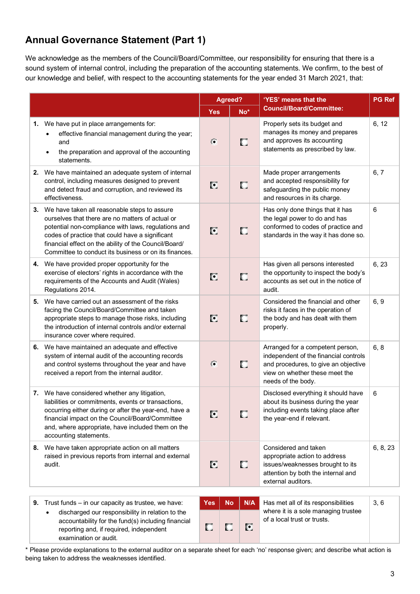# **Annual Governance Statement (Part 1)**

We acknowledge as the members of the Council/Board/Committee, our responsibility for ensuring that there is a sound system of internal control, including the preparation of the accounting statements. We confirm, to the best of our knowledge and belief, with respect to the accounting statements for the year ended 31 March 2021, that:

|                                                                                                                                                                                                                                                                                                                                 |            | Agreed?          | 'YES' means that the                                                                                                                                                      | <b>PG Ref</b> |
|---------------------------------------------------------------------------------------------------------------------------------------------------------------------------------------------------------------------------------------------------------------------------------------------------------------------------------|------------|------------------|---------------------------------------------------------------------------------------------------------------------------------------------------------------------------|---------------|
|                                                                                                                                                                                                                                                                                                                                 | <b>Yes</b> | $No^*$           | <b>Council/Board/Committee:</b>                                                                                                                                           |               |
| 1. We have put in place arrangements for:<br>effective financial management during the year;<br>and<br>the preparation and approval of the accounting<br>statements.                                                                                                                                                            | $\bullet$  | о                | Properly sets its budget and<br>manages its money and prepares<br>and approves its accounting<br>statements as prescribed by law.                                         | 6, 12         |
| 2. We have maintained an adequate system of internal<br>control, including measures designed to prevent<br>and detect fraud and corruption, and reviewed its<br>effectiveness.                                                                                                                                                  | C          | П                | Made proper arrangements<br>and accepted responsibility for<br>safeguarding the public money<br>and resources in its charge.                                              | 6, 7          |
| 3. We have taken all reasonable steps to assure<br>ourselves that there are no matters of actual or<br>potential non-compliance with laws, regulations and<br>codes of practice that could have a significant<br>financial effect on the ability of the Council/Board/<br>Committee to conduct its business or on its finances. | C          | О                | Has only done things that it has<br>the legal power to do and has<br>conformed to codes of practice and<br>standards in the way it has done so.                           | 6             |
| 4. We have provided proper opportunity for the<br>exercise of electors' rights in accordance with the<br>requirements of the Accounts and Audit (Wales)<br>Regulations 2014.                                                                                                                                                    | C          | П                | Has given all persons interested<br>the opportunity to inspect the body's<br>accounts as set out in the notice of<br>audit.                                               | 6, 23         |
| 5. We have carried out an assessment of the risks<br>facing the Council/Board/Committee and taken<br>appropriate steps to manage those risks, including<br>the introduction of internal controls and/or external<br>insurance cover where required.                                                                             | C          | П                | Considered the financial and other<br>risks it faces in the operation of<br>the body and has dealt with them<br>properly.                                                 | 6, 9          |
| 6. We have maintained an adequate and effective<br>system of internal audit of the accounting records<br>and control systems throughout the year and have<br>received a report from the internal auditor.                                                                                                                       | $\sigma$   | О                | Arranged for a competent person,<br>independent of the financial controls<br>and procedures, to give an objective<br>view on whether these meet the<br>needs of the body. | 6, 8          |
| 7. We have considered whether any litigation,<br>liabilities or commitments, events or transactions,<br>occurring either during or after the year-end, have a<br>financial impact on the Council/Board/Committee<br>and, where appropriate, have included them on the<br>accounting statements.                                 | C          | П                | Disclosed everything it should have<br>about its business during the year<br>including events taking place after<br>the year-end if relevant.                             | 6             |
| 8. We have taken appropriate action on all matters<br>raised in previous reports from internal and external<br>audit.                                                                                                                                                                                                           | C          | о                | Considered and taken<br>appropriate action to address<br>issues/weaknesses brought to its<br>attention by both the internal and<br>external auditors.                     | 6, 8, 23      |
| 9. Trust funds $-$ in our capacity as trustee, we have:                                                                                                                                                                                                                                                                         | <b>Yes</b> | N/A<br><b>No</b> | Has met all of its responsibilities                                                                                                                                       | 3, 6          |

• discharged our responsibility in relation to the accountability for the fund(s) including financial reporting and, if required, independent examination or audit.

| N/A | Has met all of its responsibilities                                | 3.6 |  |
|-----|--------------------------------------------------------------------|-----|--|
| G   | where it is a sole managing trustee<br>of a local trust or trusts. |     |  |

\* Please provide explanations to the external auditor on a separate sheet for each 'no' response given; and describe what action is being taken to address the weaknesses identified.

 $\Box$ 

 $\Box$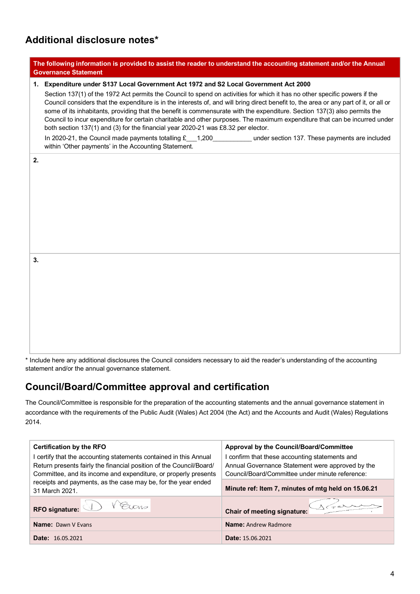# **Additional disclosure notes\***

|    | The following information is provided to assist the reader to understand the accounting statement and/or the Annual<br><b>Governance Statement</b>                                                                                                                                                                                                                                                                                                                                                                                                                                                                                                                                                                                                                                                                                                                                         |
|----|--------------------------------------------------------------------------------------------------------------------------------------------------------------------------------------------------------------------------------------------------------------------------------------------------------------------------------------------------------------------------------------------------------------------------------------------------------------------------------------------------------------------------------------------------------------------------------------------------------------------------------------------------------------------------------------------------------------------------------------------------------------------------------------------------------------------------------------------------------------------------------------------|
|    | 1. Expenditure under S137 Local Government Act 1972 and S2 Local Government Act 2000<br>Section 137(1) of the 1972 Act permits the Council to spend on activities for which it has no other specific powers if the<br>Council considers that the expenditure is in the interests of, and will bring direct benefit to, the area or any part of it, or all or<br>some of its inhabitants, providing that the benefit is commensurate with the expenditure. Section 137(3) also permits the<br>Council to incur expenditure for certain charitable and other purposes. The maximum expenditure that can be incurred under<br>both section 137(1) and (3) for the financial year 2020-21 was £8.32 per elector.<br>In 2020-21, the Council made payments totalling £__1,200____________under section 137. These payments are included<br>within 'Other payments' in the Accounting Statement. |
| 2. |                                                                                                                                                                                                                                                                                                                                                                                                                                                                                                                                                                                                                                                                                                                                                                                                                                                                                            |
| 3. |                                                                                                                                                                                                                                                                                                                                                                                                                                                                                                                                                                                                                                                                                                                                                                                                                                                                                            |

\* Include here any additional disclosures the Council considers necessary to aid the reader's understanding of the accounting statement and/or the annual governance statement.

### **Council/Board/Committee approval and certification**

The Council/Committee is responsible for the preparation of the accounting statements and the annual governance statement in accordance with the requirements of the Public Audit (Wales) Act 2004 (the Act) and the Accounts and Audit (Wales) Regulations 2014.

| <b>Certification by the RFO</b>                                                                                                          | Approval by the Council/Board/Committee<br>I confirm that these accounting statements and<br>Annual Governance Statement were approved by the<br>Council/Board/Committee under minute reference: |  |  |
|------------------------------------------------------------------------------------------------------------------------------------------|--------------------------------------------------------------------------------------------------------------------------------------------------------------------------------------------------|--|--|
| I certify that the accounting statements contained in this Annual<br>Return presents fairly the financial position of the Council/Board/ |                                                                                                                                                                                                  |  |  |
| Committee, and its income and expenditure, or properly presents                                                                          |                                                                                                                                                                                                  |  |  |
| receipts and payments, as the case may be, for the year ended<br>31 March 2021.                                                          | Minute ref: Item 7, minutes of mtg held on 15.06.21                                                                                                                                              |  |  |
| RFO signature: V V Elons                                                                                                                 | Chair of meeting signature:                                                                                                                                                                      |  |  |
| <b>Name: Dawn V Evans</b>                                                                                                                | <b>Name: Andrew Radmore</b>                                                                                                                                                                      |  |  |
| <b>Date:</b> 16.05.2021                                                                                                                  | <b>Date: 15.06.2021</b>                                                                                                                                                                          |  |  |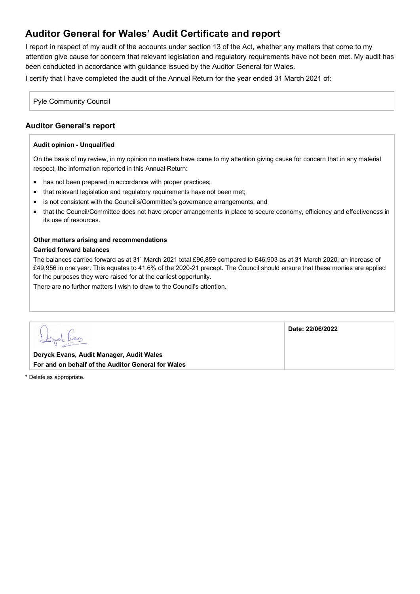## **Auditor General for Wales' Audit Certificate and report**

I report in respect of my audit of the accounts under section 13 of the Act, whether any matters that come to my attention give cause for concern that relevant legislation and regulatory requirements have not been met. My audit has been conducted in accordance with guidance issued by the Auditor General for Wales.

I certify that I have completed the audit of the Annual Return for the year ended 31 March 2021 of:

Pyle Community Council

### **Auditor General's report**

#### **Audit opinion - Unqualified**

On the basis of my review, in my opinion no matters have come to my attention giving cause for concern that in any material respect, the information reported in this Annual Return:

- has not been prepared in accordance with proper practices;
- that relevant legislation and regulatory requirements have not been met;
- is not consistent with the Council's/Committee's governance arrangements; and
- that the Council/Committee does not have proper arrangements in place to secure economy, efficiency and effectiveness in its use of resources.

### **Other matters arising and recommendations**

#### **Carried forward balances**

The balances carried forward as at 31` March 2021 total £96,859 compared to £46,903 as at 31 March 2020, an increase of £49,956 in one year. This equates to 41.6% of the 2020-21 precept. The Council should ensure that these monies are applied for the purposes they were raised for at the earliest opportunity.

There are no further matters I wish to draw to the Council's attention.

| <u>Ibryde trans</u>                                | Date: 22/06/2022 |
|----------------------------------------------------|------------------|
| Deryck Evans, Audit Manager, Audit Wales           |                  |
| For and on behalf of the Auditor General for Wales |                  |

**\*** Delete as appropriate.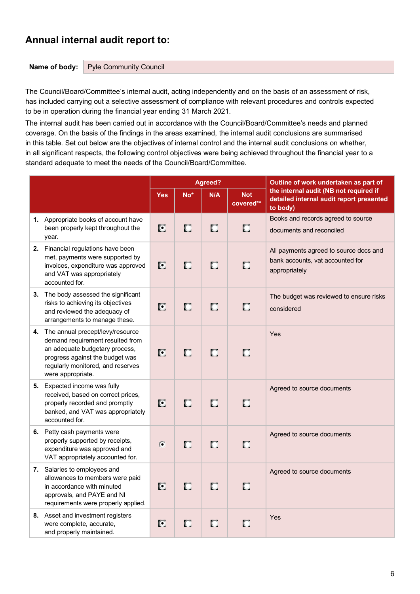### **Annual internal audit report to:**

#### **Name of body:** Pyle Community Council

The Council/Board/Committee's internal audit, acting independently and on the basis of an assessment of risk, has included carrying out a selective assessment of compliance with relevant procedures and controls expected to be in operation during the financial year ending 31 March 2021.

The internal audit has been carried out in accordance with the Council/Board/Committee's needs and planned coverage. On the basis of the findings in the areas examined, the internal audit conclusions are summarised in this table. Set out below are the objectives of internal control and the internal audit conclusions on whether, in all significant respects, the following control objectives were being achieved throughout the financial year to a standard adequate to meet the needs of the Council/Board/Committee.

|  |                                                                                                                                                                                                        |                  |       | Agreed? |                         | Outline of work undertaken as part of                                                          |
|--|--------------------------------------------------------------------------------------------------------------------------------------------------------------------------------------------------------|------------------|-------|---------|-------------------------|------------------------------------------------------------------------------------------------|
|  |                                                                                                                                                                                                        | <b>Yes</b>       | $No*$ | N/A     | <b>Not</b><br>covered** | the internal audit (NB not required if<br>detailed internal audit report presented<br>to body) |
|  | 1. Appropriate books of account have<br>been properly kept throughout the<br>year.                                                                                                                     | $\overline{[0]}$ | O     | O       | O                       | Books and records agreed to source<br>documents and reconciled                                 |
|  | 2. Financial regulations have been<br>met, payments were supported by<br>invoices, expenditure was approved<br>and VAT was appropriately<br>accounted for.                                             | O                | П     | О       | $\Box$                  | All payments agreed to source docs and<br>bank accounts, vat accounted for<br>appropriately    |
|  | 3. The body assessed the significant<br>risks to achieving its objectives<br>and reviewed the adequacy of<br>arrangements to manage these.                                                             | $\bullet$        | О     | П       | О                       | The budget was reviewed to ensure risks<br>considered                                          |
|  | 4. The annual precept/levy/resource<br>demand requirement resulted from<br>an adequate budgetary process,<br>progress against the budget was<br>regularly monitored, and reserves<br>were appropriate. | O                | П     | О       | O                       | Yes                                                                                            |
|  | 5. Expected income was fully<br>received, based on correct prices,<br>properly recorded and promptly<br>banked, and VAT was appropriately<br>accounted for.                                            | C                | П     | П       | О                       | Agreed to source documents                                                                     |
|  | 6. Petty cash payments were<br>properly supported by receipts,<br>expenditure was approved and<br>VAT appropriately accounted for.                                                                     | $\epsilon$       | П     | $\Box$  | $\Box$                  | Agreed to source documents                                                                     |
|  | 7. Salaries to employees and<br>allowances to members were paid<br>in accordance with minuted<br>approvals, and PAYE and NI<br>requirements were properly applied.                                     | Ø                | П     | О       | O                       | Agreed to source documents                                                                     |
|  | 8. Asset and investment registers<br>were complete, accurate,<br>and properly maintained.                                                                                                              | C                | О     | О       | O                       | Yes                                                                                            |